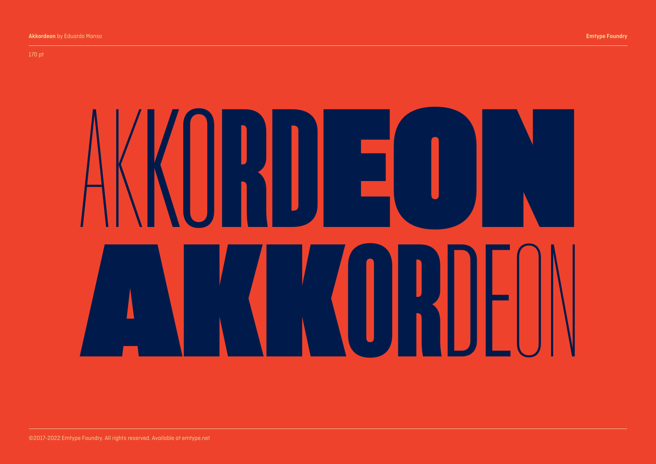170 pt

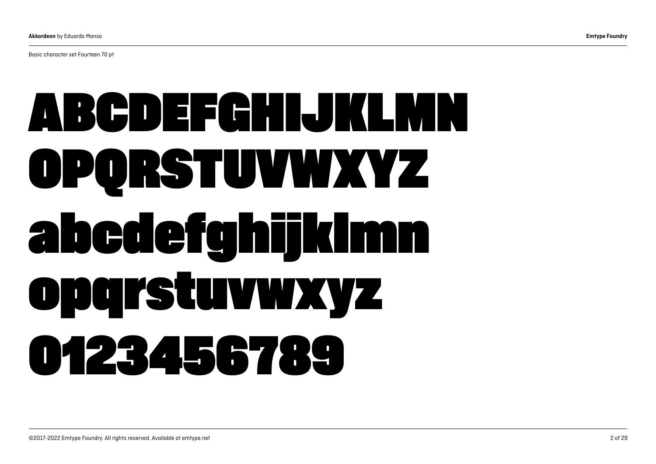Basic character set Fourteen 70 pt

### ABCDEFGHIJKLMN OPQRSTUVWXYZ abcdefghijklmn opqrstuvwxyz 0123456789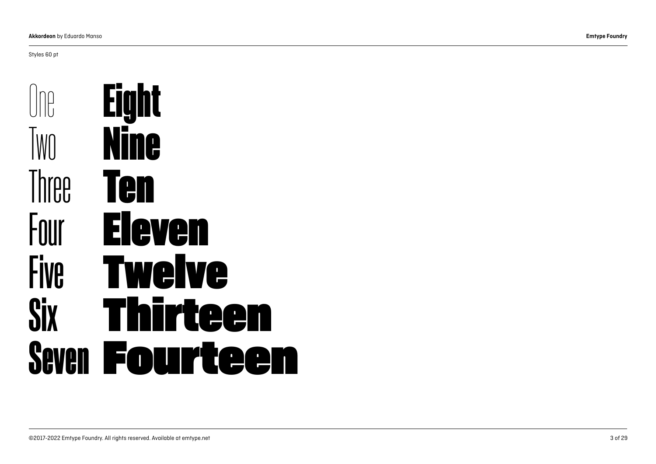$\int$ **IWN** Three Four Five **Six** Seven Fourteen**Eight** Nine Ten Eleven Twelve Thirteen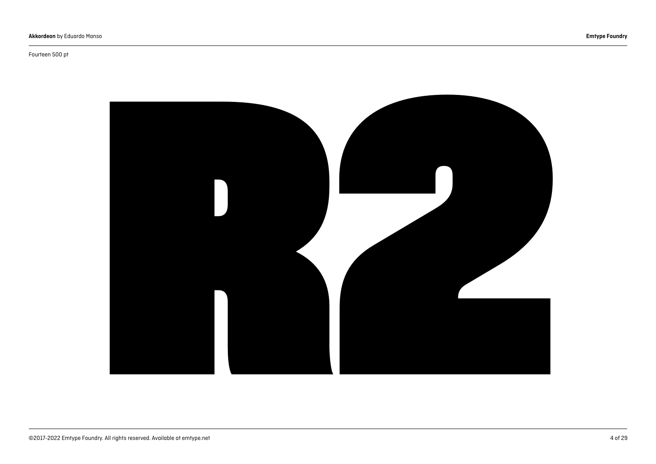#### Fourteen 500 pt

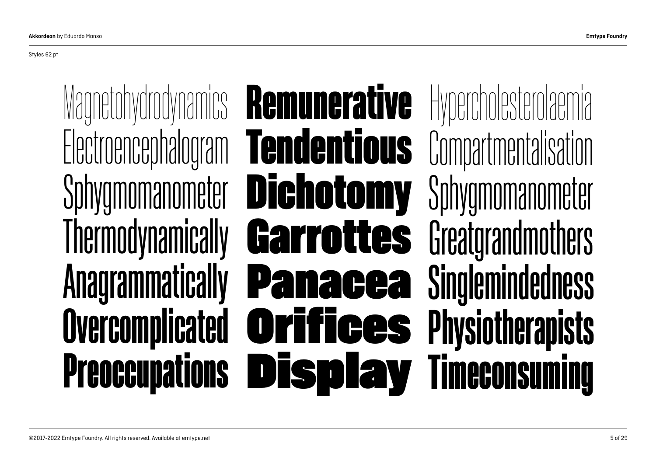Styles 62 pt

Magnetohydrodynamics Electroencephalogram Sphygmomanometer **Thermodynamically Anagrammatically Overcomplicated Preoccupations** 

Remunerative Tendentious **Dichotomy** Garrottes Panacea Orifices Display

Hypercholesterolaemia **Compartmentalisation** Sphygmomanometer **Greatgrandmothers** Singlemindedness **Physiotherapists** Timeconsuming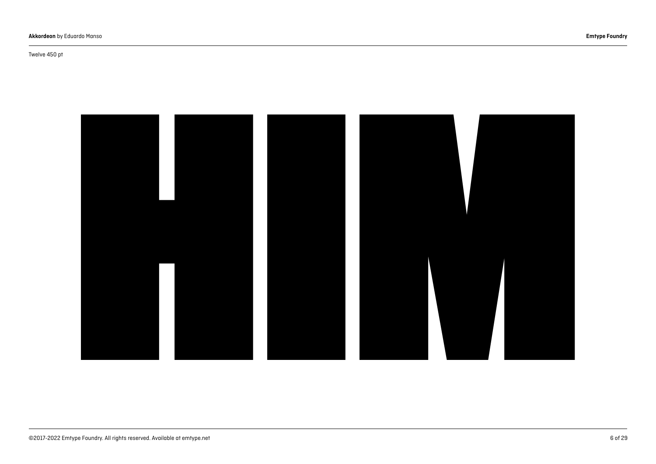#### Twelve 450 pt

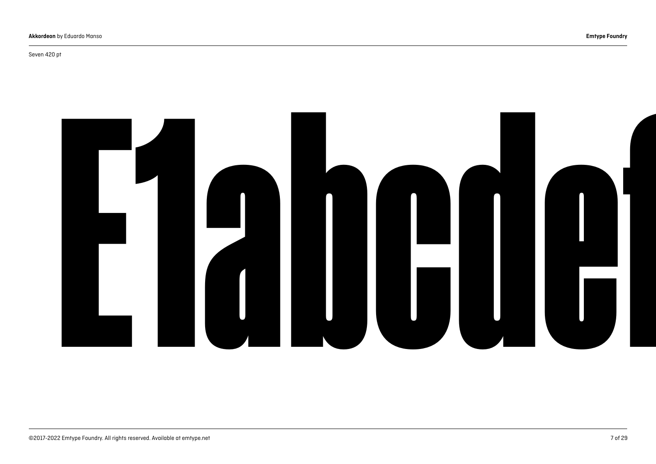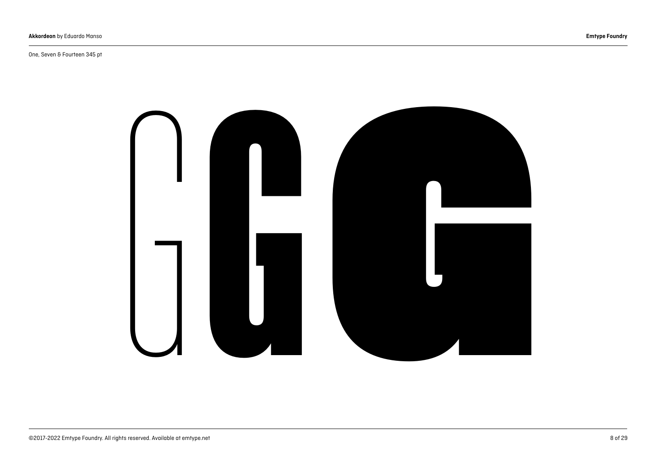#### One, Seven & Fourteen 345 pt

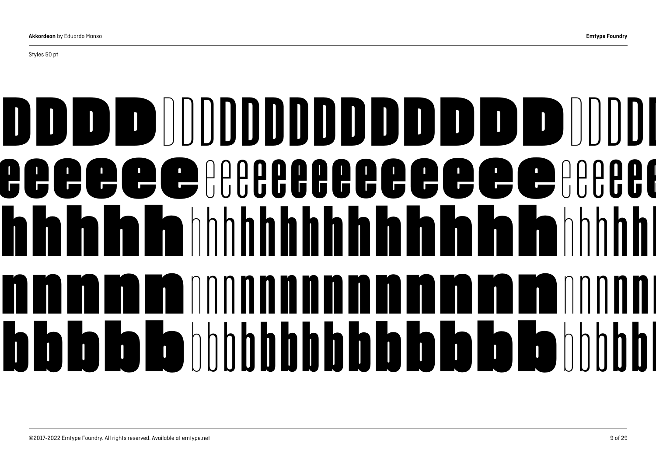### DDDDDD DDDDDDDDDDDDD DDDDDDDDDDDDDD DDDDDDDD eeereeeeeeeeee hhhhhh hhhhhhhhhhhhhh hhhhhhhhhhhhhh hhhhhhhh nnnnnn nnnnnnnnnnnnnn nnnnnnnnnnnnnn nnnnnnnn bbbbbb bbbbbbbbbbbbbb bbbbbbbbbbbbbb bbbbbbbb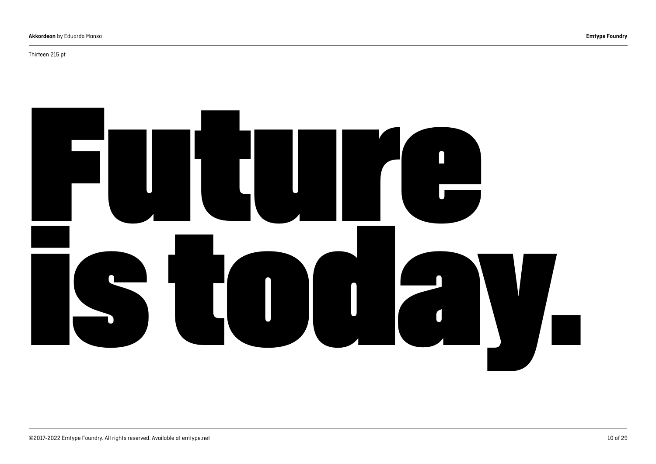#### Thirteen 215 pt

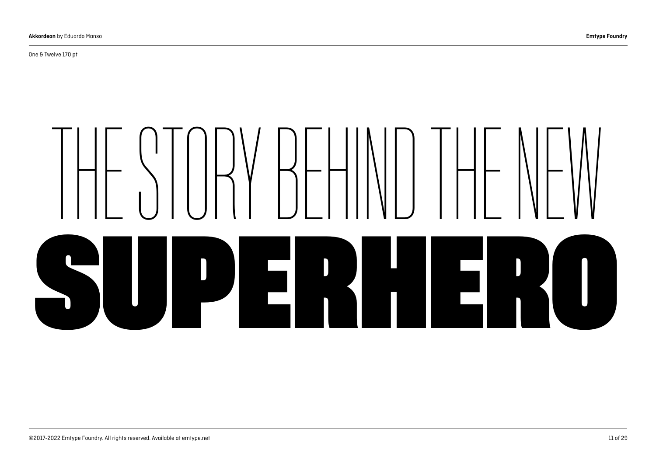One & Twelve 170 pt

# THE STORY BEHIND THE NEW SUPERHERO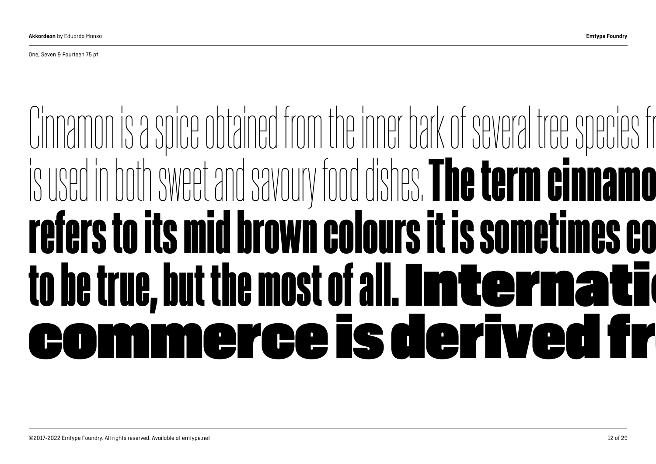One, Seven & Fourteen 75 pt

### Cinnamon is a [spice](https://en.wikipedia.org/wiki/Spice) obtained from the inner bark of several tree species fr is used in both sweet and savoury food dishes. The term cinnamo refers to its mid brown colours it is sometimes co to be true, but the most of all. **Imternati**on ommerce is derived fr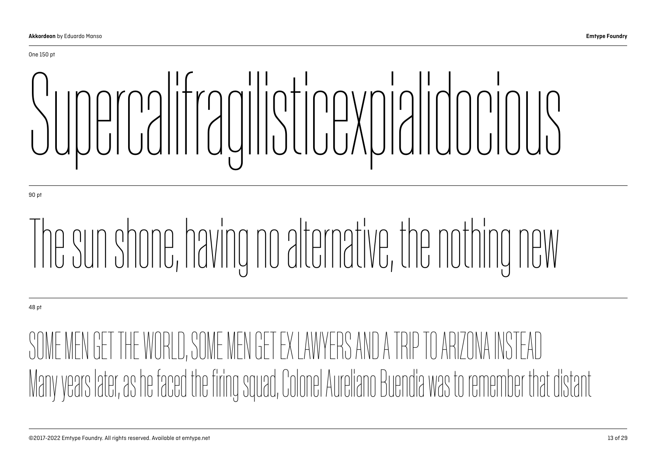### One 150 pt Supercalifragilisticexpialidocious

90 pt

### The sun shone, having no alternative, the nothing new

#### 48 pt

SOME MEN GET THE WORLD, SOME MEN GET EX LAWYERS AND A TRIP TO ARIZONA INSTEAD Many years later, as he faced the firing squad, Colonel Aureliano Buendia was to remember that distant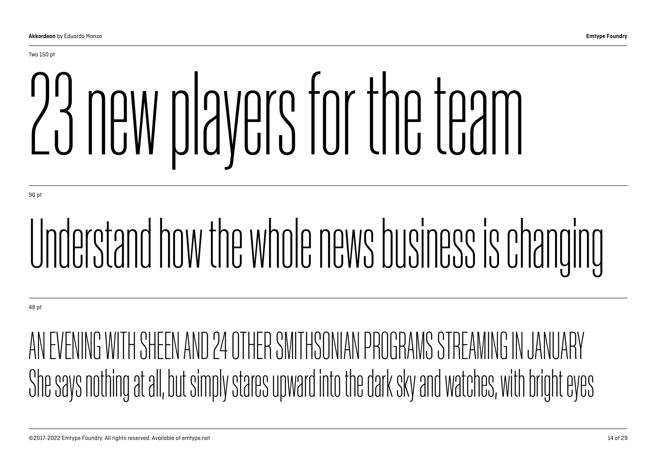# 23 new players for the team

90 pt

## Understand how the whole news business is changing

48 pt

AN EVENING WITH SHEEN AND 24 OTHER SMITHSONIAN PROGRAMS STREAMING IN JANUARY She says nothing at all, but simply stares upward into the dark sky and watches, with bright eyes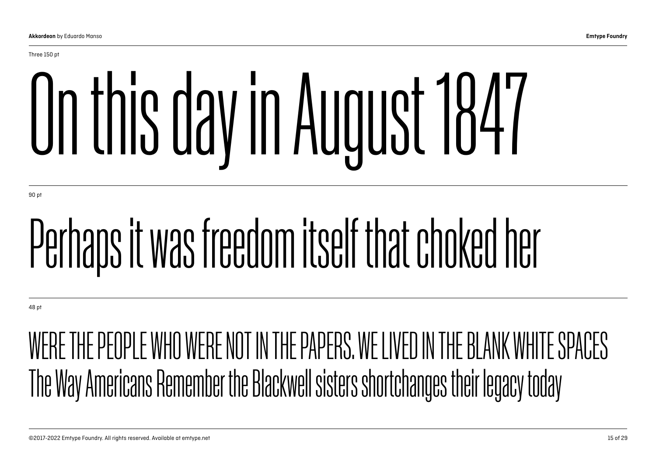# On this day in August 1847

90 pt

### Perhaps it was freedom itself that choked her

48 pt

WERE THE PEOPLE WHO WERE NOT IN THE PAPERS. WE LIVED IN THE BLANK WHITE SPACES The Way Americans Remember the Blackwell sisters shortchanges their legacy today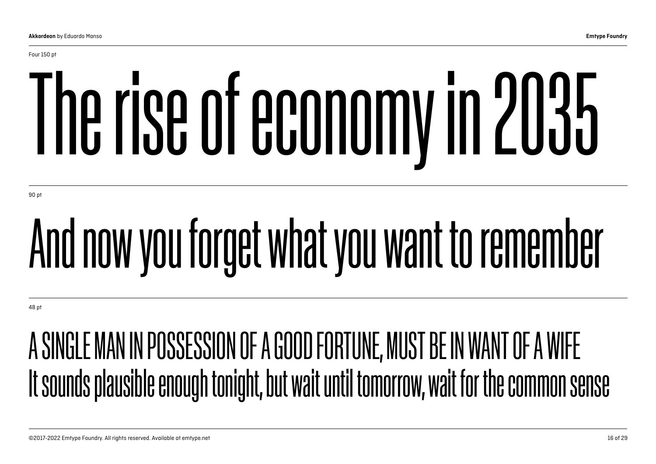Four 150 pt

# The rise of economy in 2035

90 pt

## And now you forget what you want to remember

48 pt

#### A SINGLE MAN IN POSSESSION OF A GOOD FORTUNE, MUST BE IN WANT OF A WIFE It sounds plausible enough tonight, but wait until tomorrow, wait for the common sense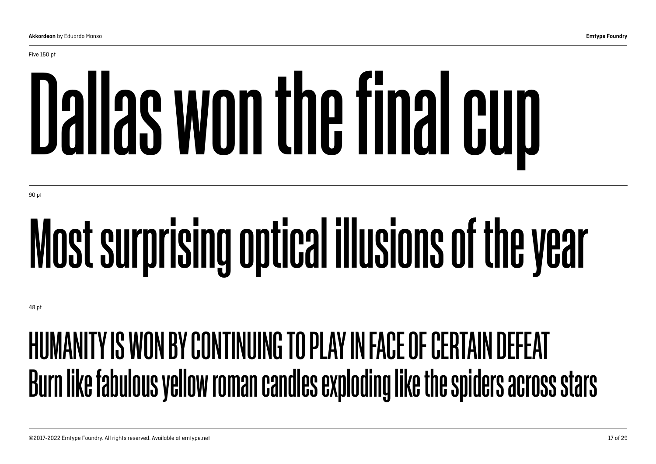# Dallas won the final cup

90 pt

## Most surprising optical illusions of the year

48 pt

#### HUMANITY IS WON BY CONTINUING TO PLAY IN FACE OF CERTAIN DEFEAT Burn like fabulous yellow roman candles exploding like the spiders across stars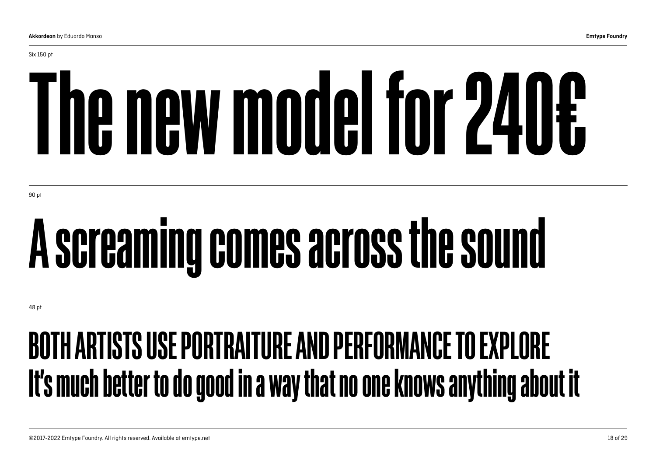Six 150 pt

# The new model for 240€

90 pt

## A screaming comes across the sound

48 pt

### BOTH ARTISTS USE PORTRAITURE AND PERFORMANCE TO EXPLORE It's much better to do good in a way that no one knows anything about it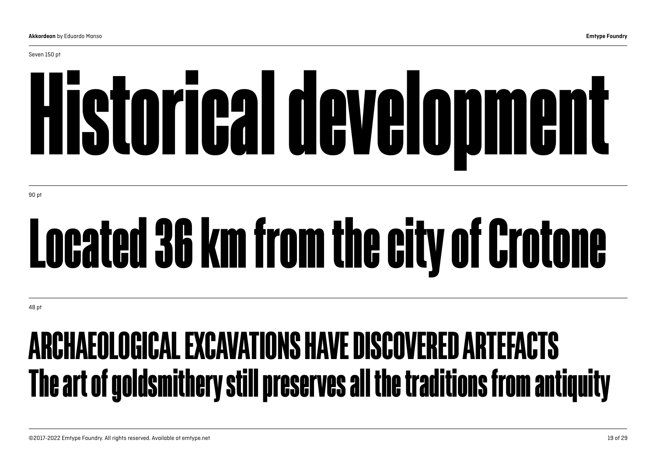# Historical development

90 pt

## Located 36 km from the city of Crotone

48 pt

#### ARCHAEOLOGICAL EXCAVATIONS HAVE DISCOVERED ARTEFACTS The art of goldsmithery still preserves all the traditions from antiquity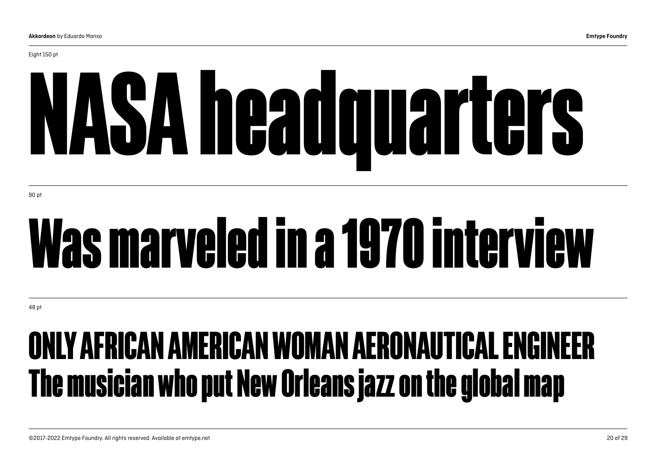# NASA headquarters

90 pt

### Was marveled in a 1970 interview

48 pt

#### ONLY AFRICAN AMERICAN WOMAN AERONAUTICAL ENGINEER The musician who put New Orleans jazz on the global map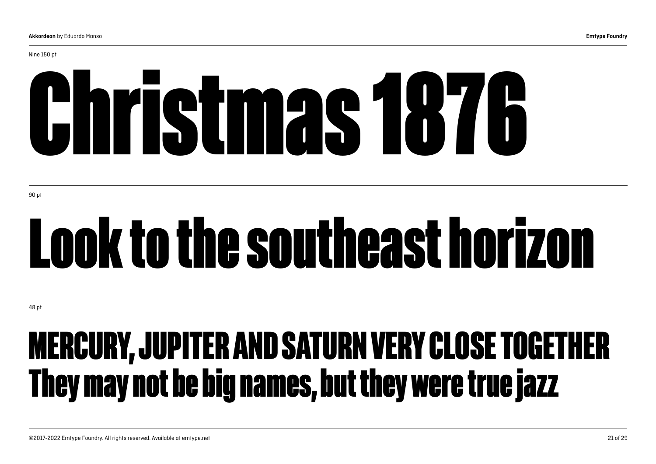Nine 150 pt

# Christmas 1876

90 pt

## Look to the southeast horizon

48 pt

### MERCURY, JUPITER AND SATURN VERY CLOSE TOGETHER They may not be big names, but they were true jazz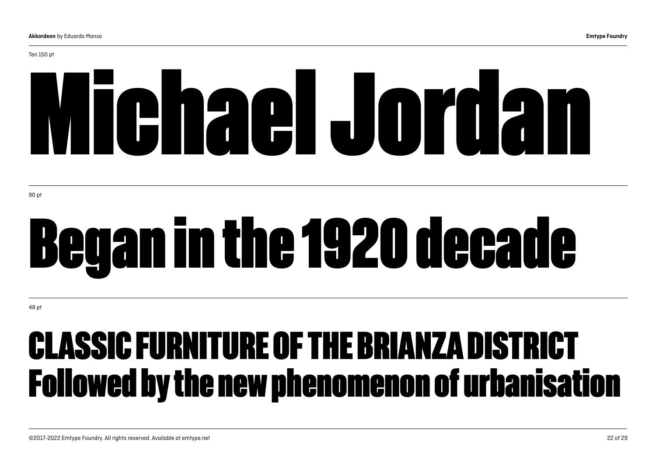Ten 150 pt

# Michael Jordan

90 pt

## Began in the 1920 decade

48 pt

### CLASSIC FURNITURE OF THE BRIANZA DISTRICT Followed by the new phenomenon of urbanisation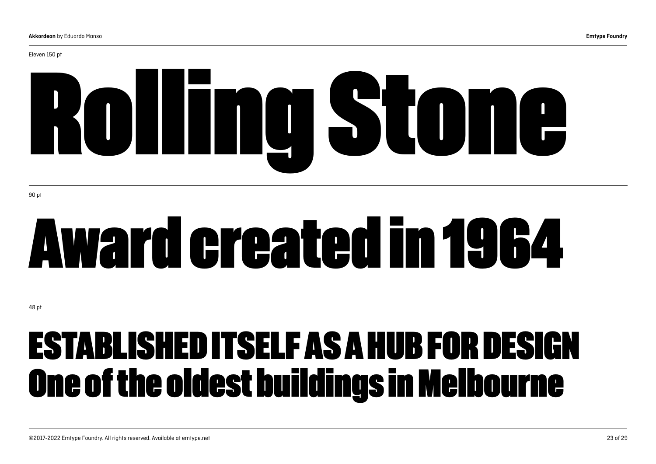### Eleven 150 pt Rolling Stone

90 pt

## Award created in 1964

48 pt

### ESTABLISHED ITSELF AS A HUB FOR DESIGN One of the oldest buildings in Melbourne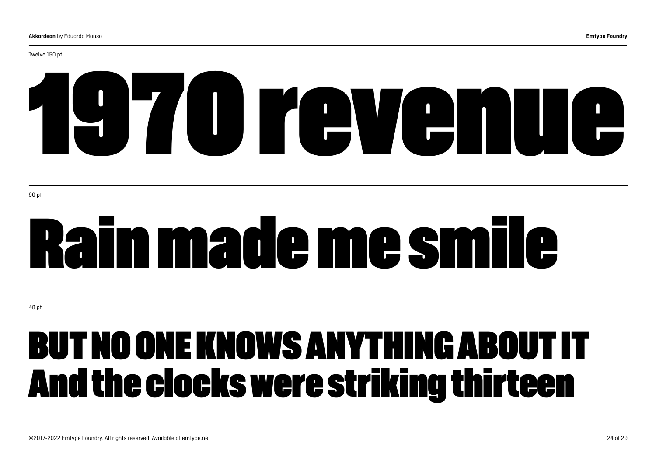# 1970 revenue

90 pt

## Rain made me smile

48 pt

### BUT NO ONE KNOWS ANYTHING ABOUT IT And the clocks were striking thirteen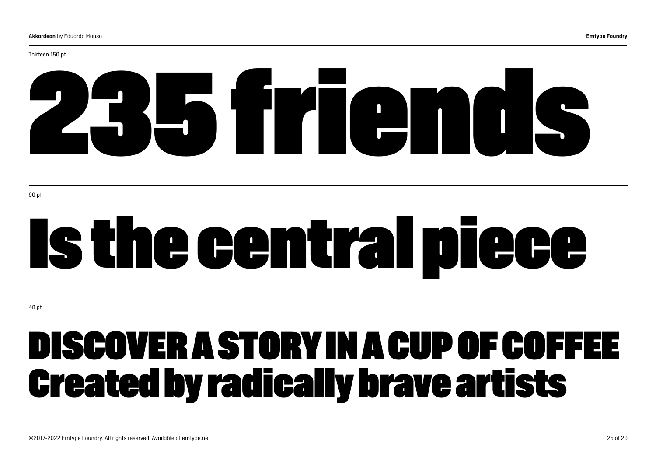#### Thirteen 150 pt

# 235 friends

## Is the central piece

48 pt

### DISCOVER A STORY IN A CUP OF COFFEE Created by radically brave artists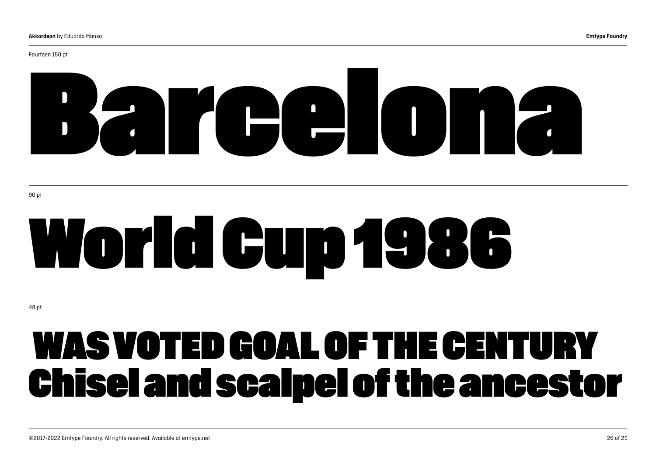## Barcelona

90 pt

## World Cup 1986

48 pt

### WAS VOTED GOAL OF THE CENTURY Chisel and scalpel of the ancestor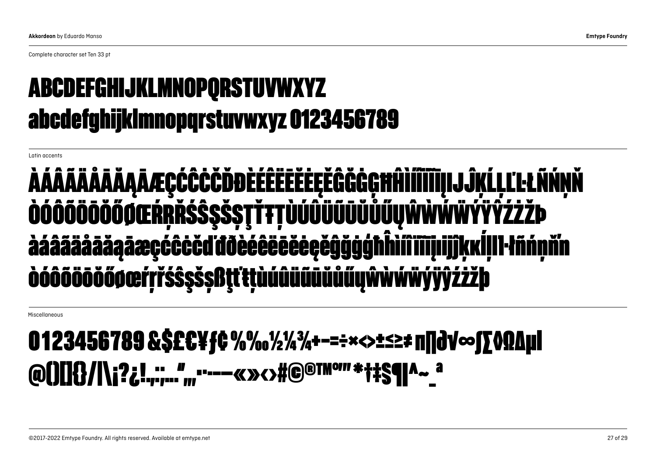Complete character set Ten 33 pt

#### ABCDEFGHIJKLMNOPQRSTUVWXYZ abcdefghijklmnopqrstuvwxyz 0123456789

Latin accents

#### **AAAAAAAAAAÆÇCCCCDĐEEEEEEEEGG** ÒÓÖÖÖÖÖŐŐŒŔŖŘŚŜŞŠŞŢŤŦŢŮŰŰÜŰŰŰŰŰŰŲŴŴŴŸŸŶŹŻŻÞ àáâãäåāäaāæçćĉċčďđðèéêëēĕėe őøœŕŗřśŝşšșßţ

Miscellaneous

#### 0123456789&\$£€¥ƒ¢%‰½¼¾+−=÷×<>±≤≥≠π∏∂√∞∫∑◊ΩΔμl @()[]{}/|\;?¿!.,:...",,,..---«»<>#@®™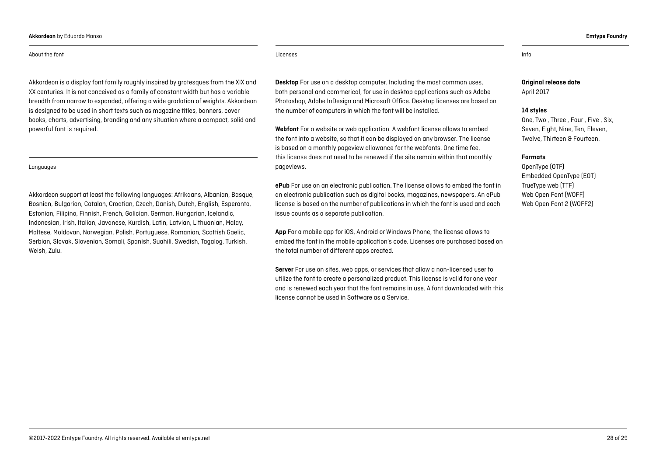#### **Akkordeon** by Eduardo Manso **Emtype Foundry**

#### About the font **Licenses** info

Akkordeon is a display font family roughly inspired by grotesques from the XIX and XX centuries. It is not conceived as a family of constant width but has a variable breadth from narrow to expanded, offering a wide gradation of weights. Akkordeon is designed to be used in short texts such as magazine titles, banners, cover books, charts, advertising, branding and any situation where a compact, solid and powerful font is required.

#### Languages

Akkordeon support at least the following languages: Afrikaans, Albanian, Basque, Bosnian, Bulgarian, Catalan, Croatian, Czech, Danish, Dutch, English, Esperanto, Estonian, Filipino, Finnish, French, Galician, German, Hungarian, Icelandic, Indonesian, Irish, Italian, Javanese, Kurdish, Latin, Latvian, Lithuanian, Malay, Maltese, Moldovan, Norwegian, Polish, Portuguese, Romanian, Scottish Gaelic, Serbian, Slovak, Slovenian, Somali, Spanish, Suahili, Swedish, Tagalog, Turkish, Welsh, Zulu.

**Desktop** For use on a desktop computer. Including the most common uses, both personal and commerical, for use in desktop applications such as Adobe Photoshop, Adobe InDesign and Microsoft Office. Desktop licenses are based on the number of computers in which the font will be installed.

**Webfont** For a website or web application. A webfont license allows to embed the font into a website, so that it can be displayed on any browser. The license is based on a monthly pageview allowance for the webfonts. One time fee, this license does not need to be renewed if the site remain within that monthly pageviews.

**ePub** For use on an electronic publication. The license allows to embed the font in an electronic publication such as digital books, magazines, newspapers. An ePub license is based on the number of publications in which the font is used and each issue counts as a separate publication.

**App** For a mobile app for iOS, Android or Windows Phone, the license allows to embed the font in the mobile application's code. Licenses are purchased based on the total number of different apps created.

**Server** For use on sites, web apps, or services that allow a non-licensed user to utilize the font to create a personalized product. This license is valid for one year and is renewed each year that the font remains in use. A font downloaded with this license cannot be used in Software as a Service.

**Original release date** April 2017

#### **14 styles**

One, Two , Three , Four , Five , Six, Seven, Eight, Nine, Ten, Eleven, Twelve, Thirteen & Fourteen.

#### **Formats**

OpenType (OTF) Embedded OpenType (EOT) TrueType web (TTF) [Web Open Font](https://ca.wikipedia.org/wiki/Web_Open_Font_Format) (WOFF) [Web Open Font 2](https://ca.wikipedia.org/wiki/Web_Open_Font_Format) (WOFF2)